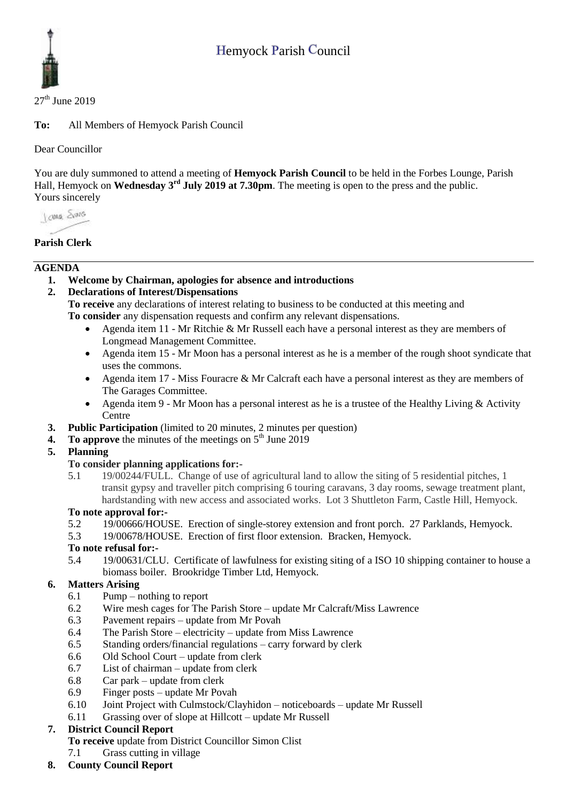# Hemyock Parish Council



 $27<sup>th</sup>$  June 2019

**To:** All Members of Hemyock Parish Council

Dear Councillor

You are duly summoned to attend a meeting of **Hemyock Parish Council** to be held in the Forbes Lounge, Parish Hall, Hemyock on **Wednesday** 3<sup>rd</sup> July 2019 at 7.30pm. The meeting is open to the press and the public. Yours sincerely

James Stars

# **Parish Clerk**

# **AGENDA**

**1. Welcome by Chairman, apologies for absence and introductions**

# **2. Declarations of Interest/Dispensations**

**To receive** any declarations of interest relating to business to be conducted at this meeting and **To consider** any dispensation requests and confirm any relevant dispensations.

- Agenda item 11 Mr Ritchie & Mr Russell each have a personal interest as they are members of Longmead Management Committee.
- Agenda item 15 Mr Moon has a personal interest as he is a member of the rough shoot syndicate that uses the commons.
- Agenda item 17 Miss Fouracre & Mr Calcraft each have a personal interest as they are members of The Garages Committee.
- Agenda item 9 Mr Moon has a personal interest as he is a trustee of the Healthy Living  $&$  Activity **Centre**
- **3. Public Participation** (limited to 20 minutes, 2 minutes per question)
- **4.** To approve the minutes of the meetings on 5<sup>th</sup> June 2019
- **5. Planning**
	- **To consider planning applications for:-**
		- 5.1 19/00244/FULL. Change of use of agricultural land to allow the siting of 5 residential pitches, 1 transit gypsy and traveller pitch comprising 6 touring caravans, 3 day rooms, sewage treatment plant, hardstanding with new access and associated works. Lot 3 Shuttleton Farm, Castle Hill, Hemyock.

# **To note approval for:-**

- 5.2 19/00666/HOUSE. Erection of single-storey extension and front porch. 27 Parklands, Hemyock.
- 5.3 19/00678/HOUSE. Erection of first floor extension. Bracken, Hemyock.

# **To note refusal for:-**

5.4 19/00631/CLU. Certificate of lawfulness for existing siting of a ISO 10 shipping container to house a biomass boiler. Brookridge Timber Ltd, Hemyock.

# **6. Matters Arising**

- 6.1 Pump nothing to report
- 6.2 Wire mesh cages for The Parish Store update Mr Calcraft/Miss Lawrence
- 6.3 Pavement repairs update from Mr Povah
- 6.4 The Parish Store electricity update from Miss Lawrence
- 6.5 Standing orders/financial regulations carry forward by clerk
- 6.6 Old School Court update from clerk
- 6.7 List of chairman update from clerk
- 6.8 Car park update from clerk
- 6.9 Finger posts update Mr Povah
- 6.10 Joint Project with Culmstock/Clayhidon noticeboards update Mr Russell
- 6.11 Grassing over of slope at Hillcott update Mr Russell

# **7. District Council Report**

**To receive** update from District Councillor Simon Clist

- 7.1 Grass cutting in village
- **8. County Council Report**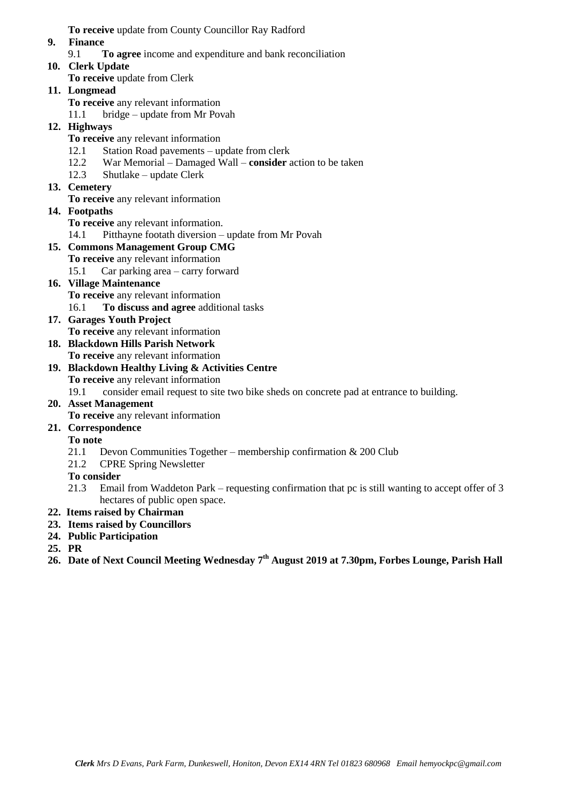**To receive** update from County Councillor Ray Radford

- **9. Finance** 
	- 9.1 **To agree** income and expenditure and bank reconciliation
- **10. Clerk Update** 
	- **To receive** update from Clerk
- **11. Longmead**
	- **To receive** any relevant information
	- 11.1 bridge update from Mr Povah
- **12. Highways** 
	- **To receive** any relevant information
	- 12.1 Station Road pavements update from clerk
	- 12.2 War Memorial Damaged Wall **consider** action to be taken
	- 12.3 Shutlake update Clerk
- **13. Cemetery** 
	- **To receive** any relevant information
- **14. Footpaths**

**To receive** any relevant information.

14.1 Pitthayne footath diversion – update from Mr Povah

#### **15. Commons Management Group CMG To receive** any relevant information

- 15.1 Car parking area carry forward
- **16. Village Maintenance**
	- **To receive** any relevant information
	- 16.1 **To discuss and agree** additional tasks
- **17. Garages Youth Project** 
	- **To receive** any relevant information
- **18. Blackdown Hills Parish Network To receive** any relevant information

# **19. Blackdown Healthy Living & Activities Centre**

- **To receive** any relevant information
- 19.1 consider email request to site two bike sheds on concrete pad at entrance to building.

# **20. Asset Management**

**To receive** any relevant information

# **21. Correspondence**

# **To note**

- 21.1 Devon Communities Together membership confirmation  $& 200$  Club
- 21.2 CPRE Spring Newsletter

# **To consider**

21.3 Email from Waddeton Park – requesting confirmation that pc is still wanting to accept offer of 3 hectares of public open space.

# **22. Items raised by Chairman**

- **23. Items raised by Councillors**
- **24. Public Participation**
- **25. PR**
- **26. Date of Next Council Meeting Wednesday 7 th August 2019 at 7.30pm, Forbes Lounge, Parish Hall**